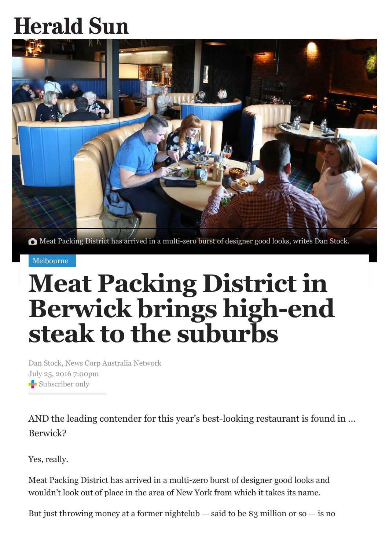## **Herald Sun**



Meat Packing District has arrived in a multi-zero burst of designer good looks, writes Dan Stock.

## [Melbourne](http://www.heraldsun.com.au/news/victoria)

## **Meat Packing District in Berwick brings high-end steak to the suburbs**

Dan Stock, News Corp Australia Network July 25, 2016 7:00pm Subscriber only

AND the leading contender for this year's best-looking restaurant is found in … Berwick?

Yes, really.

Meat Packing District has arrived in a multi-zero burst of designer good looks and wouldn't look out of place in the area of New York from which it takes its name.

But just throwing money at a former nightclub — said to be \$3 million or so — is no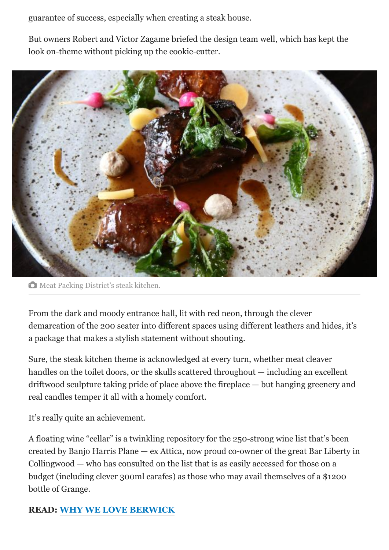guarantee of success, especially when creating a steak house.

But owners Robert and Victor Zagame briefed the design team well, which has kept the look on-theme without picking up the cookie-cutter.



 $\bullet$  Meat Packing District's steak kitchen.

From the dark and moody entrance hall, lit with red neon, through the clever demarcation of the 200 seater into different spaces using different leathers and hides, it's a package that makes a stylish statement without shouting.

Sure, the steak kitchen theme is acknowledged at every turn, whether meat cleaver handles on the toilet doors, or the skulls scattered throughout — including an excellent driftwood sculpture taking pride of place above the fireplace — but hanging greenery and real candles temper it all with a homely comfort.

It's really quite an achievement.

A floating wine "cellar" is a twinkling repository for the 250-strong wine list that's been created by Banjo Harris Plane — ex Attica, now proud co-owner of the great Bar Liberty in Collingwood — who has consulted on the list that is as easily accessed for those on a budget (including clever 300ml carafes) as those who may avail themselves of a \$1200 bottle of Grange.

## **READ: [WHY WE LOVE BERWICK](http://www.heraldsun.com.au/lifestyle/melbourne/heres-what-we-love-about-familyfriendly-berwick/news-story/feed0285153e4026c43bfba77732091a)**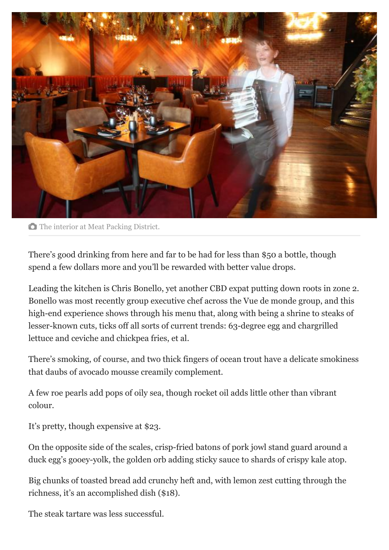

**O** The interior at Meat Packing District.

There's good drinking from here and far to be had for less than \$50 a bottle, though spend a few dollars more and you'll be rewarded with better value drops.

Leading the kitchen is Chris Bonello, yet another CBD expat putting down roots in zone 2. Bonello was most recently group executive chef across the Vue de monde group, and this high-end experience shows through his menu that, along with being a shrine to steaks of lesser-known cuts, ticks off all sorts of current trends: 63-degree egg and chargrilled lettuce and ceviche and chickpea fries, et al.

There's smoking, of course, and two thick fingers of ocean trout have a delicate smokiness that daubs of avocado mousse creamily complement.

A few roe pearls add pops of oily sea, though rocket oil adds little other than vibrant colour.

It's pretty, though expensive at \$23.

On the opposite side of the scales, crisp-fried batons of pork jowl stand guard around a duck egg's gooey-yolk, the golden orb adding sticky sauce to shards of crispy kale atop.

Big chunks of toasted bread add crunchy heft and, with lemon zest cutting through the richness, it's an accomplished dish (\$18).

The steak tartare was less successful.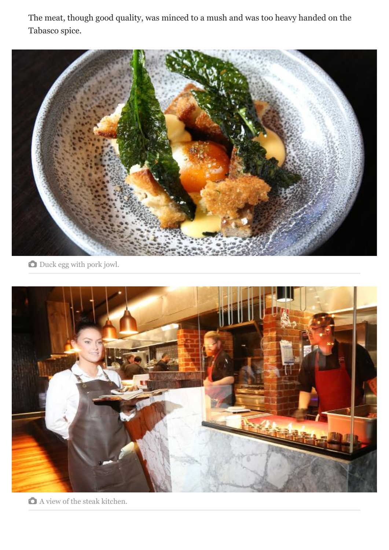The meat, though good quality, was minced to a mush and was too heavy handed on the Tabasco spice.



 $\bullet$  Duck egg with pork jowl.



A view of the steak kitchen.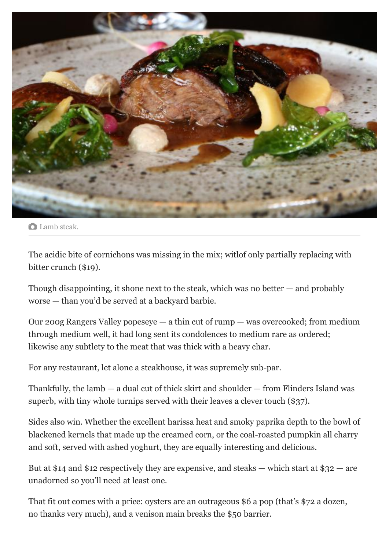

**C** Lamb steak.

The acidic bite of cornichons was missing in the mix; witlof only partially replacing with bitter crunch (\$19).

Though disappointing, it shone next to the steak, which was no better — and probably worse — than you'd be served at a backyard barbie.

Our 200g Rangers Valley popeseye — a thin cut of rump — was overcooked; from medium through medium well, it had long sent its condolences to medium rare as ordered; likewise any subtlety to the meat that was thick with a heavy char.

For any restaurant, let alone a steakhouse, it was supremely sub-par.

Thankfully, the lamb — a dual cut of thick skirt and shoulder — from Flinders Island was superb, with tiny whole turnips served with their leaves a clever touch (\$37).

Sides also win. Whether the excellent harissa heat and smoky paprika depth to the bowl of blackened kernels that made up the creamed corn, or the coal-roasted pumpkin all charry and soft, served with ashed yoghurt, they are equally interesting and delicious.

But at \$14 and \$12 respectively they are expensive, and steaks — which start at  $\$32$  — are unadorned so you'll need at least one.

That fit out comes with a price: oysters are an outrageous \$6 a pop (that's \$72 a dozen, no thanks very much), and a venison main breaks the \$50 barrier.